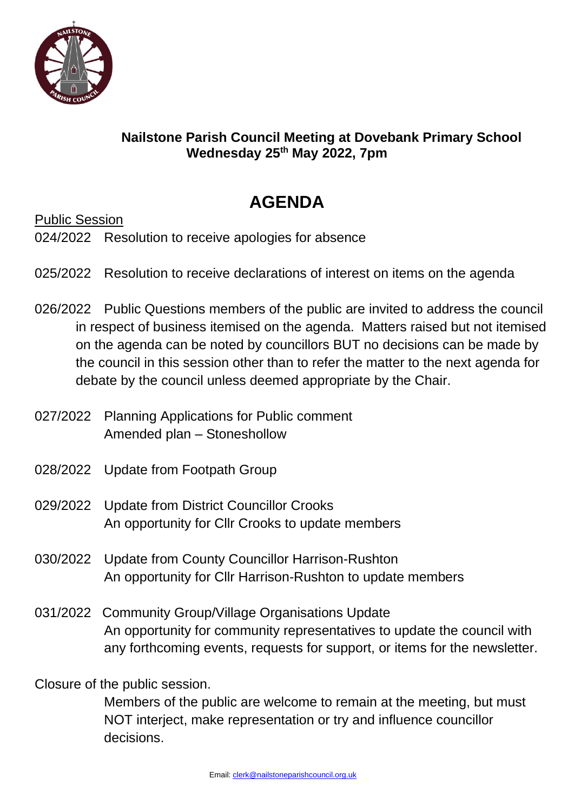

## **Nailstone Parish Council Meeting at Dovebank Primary School Wednesday 25 th May 2022, 7pm**

## **AGENDA**

Public Session

024/2022 Resolution to receive apologies for absence

- 025/2022 Resolution to receive declarations of interest on items on the agenda
- 026/2022 Public Questions members of the public are invited to address the council in respect of business itemised on the agenda. Matters raised but not itemised on the agenda can be noted by councillors BUT no decisions can be made by the council in this session other than to refer the matter to the next agenda for debate by the council unless deemed appropriate by the Chair.
- 027/2022 Planning Applications for Public comment Amended plan – Stoneshollow
- 028/2022 Update from Footpath Group
- 029/2022 Update from District Councillor Crooks An opportunity for Cllr Crooks to update members
- 030/2022 Update from County Councillor Harrison-Rushton An opportunity for Cllr Harrison-Rushton to update members
- 031/2022 Community Group/Village Organisations Update An opportunity for community representatives to update the council with any forthcoming events, requests for support, or items for the newsletter.

Closure of the public session.

Members of the public are welcome to remain at the meeting, but must NOT interject, make representation or try and influence councillor decisions.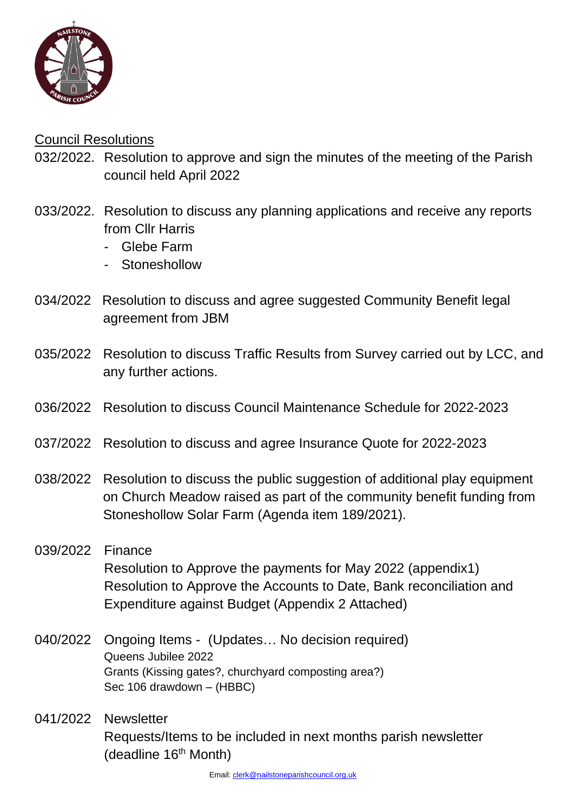

## Council Resolutions

- 032/2022. Resolution to approve and sign the minutes of the meeting of the Parish council held April 2022
- 033/2022. Resolution to discuss any planning applications and receive any reports from Cllr Harris
	- Glebe Farm
	- Stoneshollow
- 034/2022 Resolution to discuss and agree suggested Community Benefit legal agreement from JBM
- 035/2022 Resolution to discuss Traffic Results from Survey carried out by LCC, and any further actions.
- 036/2022 Resolution to discuss Council Maintenance Schedule for 2022-2023
- 037/2022 Resolution to discuss and agree Insurance Quote for 2022-2023
- 038/2022 Resolution to discuss the public suggestion of additional play equipment on Church Meadow raised as part of the community benefit funding from Stoneshollow Solar Farm (Agenda item 189/2021).
- 039/2022 Finance Resolution to Approve the payments for May 2022 (appendix1) Resolution to Approve the Accounts to Date, Bank reconciliation and Expenditure against Budget (Appendix 2 Attached)
- 040/2022 Ongoing Items (Updates… No decision required) Queens Jubilee 2022 Grants (Kissing gates?, churchyard composting area?) Sec 106 drawdown – (HBBC)
- 041/2022 Newsletter Requests/Items to be included in next months parish newsletter (deadline 16<sup>th</sup> Month)